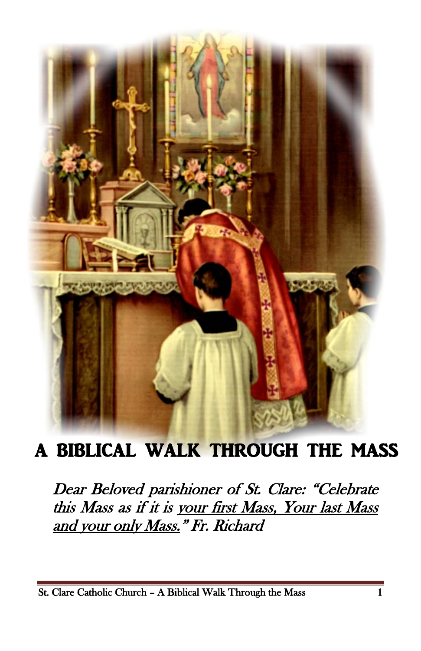

# A BIBLICAL WALK THROUGH THE MASS

Dear Beloved parishioner of St. Clare: "Celebrate this Mass as if it is your first Mass, Your last Mass and your only Mass." Fr. Richard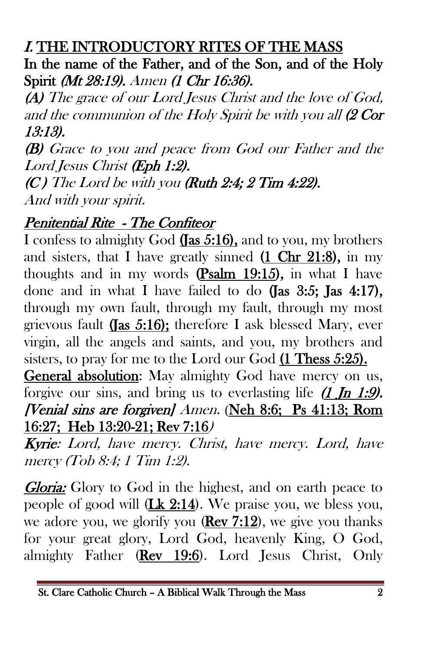#### I. THE INTRODUCTORY RITES OF THE MASS

In the name of the Father, and of the Son, and of the Holy Spirit (Mt 28:19). Amen (1 Chr 16:36).

(A) The grace of our Lord Jesus Christ and the love of God, and the communion of the Holy Spirit be with you all (2 Cor 13:13).

(B) Grace to you and peace from God our Father and the Lord Jesus Christ (Eph 1:2).

 $(C)$  The Lord be with you (Ruth 2:4; 2 Tim 4:22). And with your spirit.

#### Penitential Rite - The Confiteor

I confess to almighty God (Jas 5:16), and to you, my brothers and sisters, that I have greatly sinned (1 Chr 21:8), in my thoughts and in my words (Psalm 19:15), in what I have done and in what I have failed to do (Jas  $3:5$ ; Jas  $4:17$ ), through my own fault, through my fault, through my most grievous fault (Jas 5:16); therefore I ask blessed Mary, ever virgin, all the angels and saints, and you, my brothers and sisters, to pray for me to the Lord our God (1 Thess 5:25).

General absolution: May almighty God have mercy on us, forgive our sins, and bring us to everlasting life  $(1 \text{ In } 1:9)$ . [Venial sins are forgiven] Amen. (Neh 8:6; Ps 41:13; Rom 16:27; Heb 13:20-21; Rev 7:16)

Kyrie: Lord, have mercy. Christ, have mercy. Lord, have mercy (Tob 8:4; 1 Tim 1:2).

**Gloria:** Glory to God in the highest, and on earth peace to people of good will  $(\underline{\text{Lk } 2:14})$ . We praise you, we bless you, we adore you, we glorify you  $(\text{Rev } 7:12)$ , we give you thanks for your great glory, Lord God, heavenly King, O God, almighty Father (Rev 19:6). Lord Jesus Christ, Only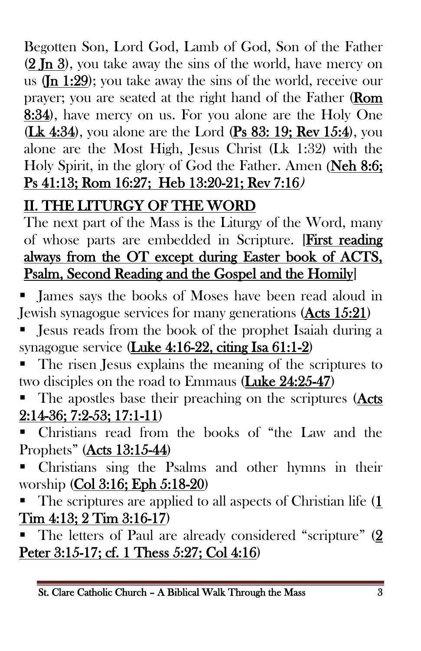Begotten Son, Lord God, Lamb of God, Son of the Father (2 Jn 3), you take away the sins of the world, have mercy on us  $(\text{In } 1:29)$ ; you take away the sins of the world, receive our prayer; you are seated at the right hand of the Father (Rom 8:34), have mercy on us. For you alone are the Holy One (Lk 4:34), you alone are the Lord (Ps 83: 19; Rev 15:4), you alone are the Most High, Jesus Christ (Lk 1:32) with the Holy Spirit, in the glory of God the Father. Amen (Neh 8:6; Ps 41:13; Rom 16:27; Heb 13:20-21; Rev 7:16)

# II. THE LITURGY OF THE WORD

The next part of the Mass is the Liturgy of the Word, many of whose parts are embedded in Scripture. [First reading always from the OT except during Easter book of ACTS, Psalm, Second Reading and the Gospel and the Homily]

 James says the books of Moses have been read aloud in Jewish synagogue services for many generations (Acts 15:21)

- Jesus reads from the book of the prophet Isaiah during a synagogue service (Luke 4:16-22, citing Isa 61:1-2)
- The risen Jesus explains the meaning of the scriptures to two disciples on the road to Emmaus (Luke 24:25-47)
- The apostles base their preaching on the scriptures (Acts 2:14-36; 7:2-53; 17:1-11)
- Christians read from the books of "the Law and the Prophets" (Acts 13:15-44)
- Christians sing the Psalms and other hymns in their worship (Col 3:16; Eph 5:18-20)
- The scriptures are applied to all aspects of Christian life (1 Tim 4:13; 2 Tim 3:16-17)
- The letters of Paul are already considered "scripture" (2 Peter 3:15-17; cf. 1 Thess 5:27; Col 4:16)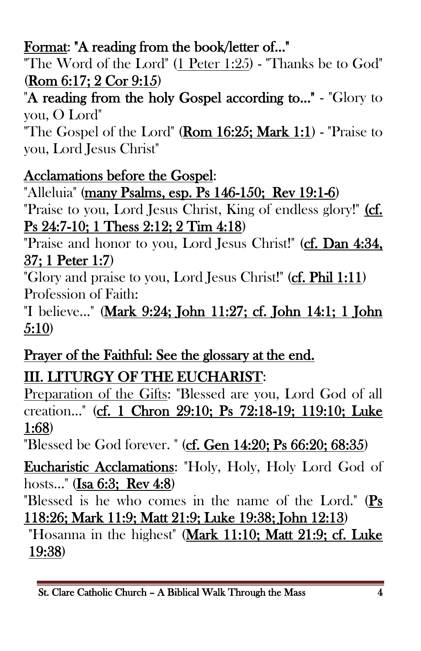## Format: "A reading from the book/letter of..."

"The Word of the Lord" (1 Peter 1:25) - "Thanks be to God" (Rom 6:17; 2 Cor 9:15)

"A reading from the holy Gospel according to..." - "Glory to you, O Lord"

"The Gospel of the Lord" (Rom  $16:25$ ; Mark  $1:1$ ) - "Praise to you, Lord Jesus Christ"

#### Acclamations before the Gospel:

"Alleluia" (many Psalms, esp. Ps 146-150; Rev 19:1-6)

"Praise to you, Lord Jesus Christ, King of endless glory!" (cf. Ps 24:7-10; 1 Thess 2:12; 2 Tim 4:18)

"Praise and honor to you, Lord Jesus Christ!" (cf. Dan 4:34, 37; 1 Peter 1:7)

"Glory and praise to you, Lord Jesus Christ!" (cf. Phil 1:11) Profession of Faith:

"I believe..." (Mark 9:24; John 11:27; cf. John 14:1; 1 John 5:10)

# Prayer of the Faithful: See the glossary at the end.

III. LITURGY OF THE EUCHARIST:

Preparation of the Gifts: "Blessed are you, Lord God of all creation..." (cf. 1 Chron 29:10; Ps 72:18-19; 119:10; Luke 1:68)

"Blessed be God forever. " (cf. Gen 14:20; Ps 66:20; 68:35)

Eucharistic Acclamations: "Holy, Holy, Holy Lord God of hosts..." (Isa 6:3; Rev 4:8)

"Blessed is he who comes in the name of the Lord." (Ps 118:26; Mark 11:9; Matt 21:9; Luke 19:38; John 12:13)

"Hosanna in the highest" (Mark 11:10; Matt 21:9; cf. Luke 19:38)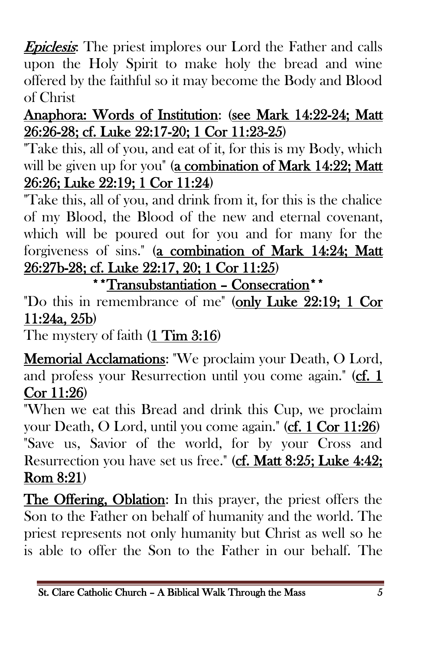**Epiclesis:** The priest implores our Lord the Father and calls upon the Holy Spirit to make holy the bread and wine offered by the faithful so it may become the Body and Blood of Christ

#### Anaphora: Words of Institution: (see Mark 14:22-24; Matt 26:26-28; cf. Luke 22:17-20; 1 Cor 11:23-25)

"Take this, all of you, and eat of it, for this is my Body, which will be given up for you" (a combination of Mark 14:22; Matt 26:26; Luke 22:19; 1 Cor 11:24)

"Take this, all of you, and drink from it, for this is the chalice of my Blood, the Blood of the new and eternal covenant, which will be poured out for you and for many for the forgiveness of sins." (a combination of Mark 14:24; Matt 26:27b-28; cf. Luke 22:17, 20; 1 Cor 11:25)

\*\*Transubstantiation – Consecration\*\*

"Do this in remembrance of me" (only Luke 22:19; 1 Cor 11:24a, 25b)

The mystery of faith (1 Tim 3:16)

Memorial Acclamations: "We proclaim your Death, O Lord, and profess your Resurrection until you come again." (cf. 1 Cor 11:26)

"When we eat this Bread and drink this Cup, we proclaim your Death, O Lord, until you come again." (cf. 1 Cor 11:26) "Save us, Savior of the world, for by your Cross and Resurrection you have set us free." (cf. Matt 8:25; Luke 4:42; Rom 8:21)

The Offering, Oblation: In this prayer, the priest offers the Son to the Father on behalf of humanity and the world. The priest represents not only humanity but Christ as well so he is able to offer the Son to the Father in our behalf. The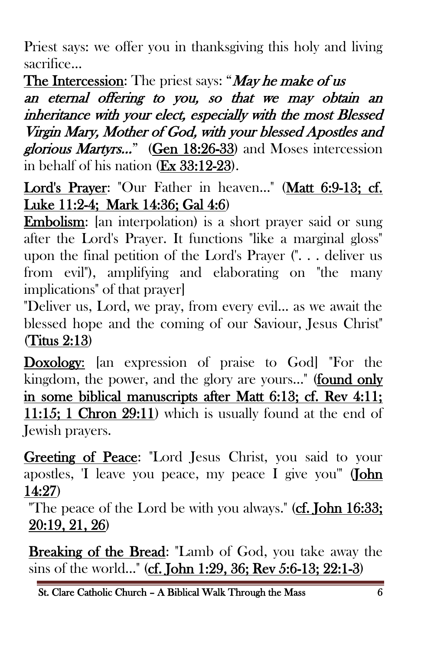Priest says: we offer you in thanksgiving this holy and living sacrifice…

The Intercession: The priest says: "*May he make of us* 

an eternal offering to you, so that we may obtain an inheritance with your elect, especially with the most Blessed Virgin Mary, Mother of God, with your blessed Apostles and glorious Martyrs…" (Gen 18:26-33) and Moses intercession in behalf of his nation (Ex 33:12-23).

Lord's Prayer: "Our Father in heaven..." (Matt 6:9-13; cf. Luke 11:2-4; Mark 14:36; Gal 4:6)

Embolism: [an interpolation] is a short prayer said or sung after the Lord's Prayer. It functions "like a marginal gloss" upon the final petition of the Lord's Prayer (". . . deliver us from evil"), amplifying and elaborating on "the many implications" of that prayer]

"Deliver us, Lord, we pray, from every evil... as we await the blessed hope and the coming of our Saviour, Jesus Christ" (Titus 2:13)

Doxology: [an expression of praise to God] "For the kingdom, the power, and the glory are yours..." (found only in some biblical manuscripts after Matt 6:13; cf. Rev 4:11; 11:15; 1 Chron 29:11) which is usually found at the end of Jewish prayers.

Greeting of Peace: "Lord Jesus Christ, you said to your apostles, 'I leave you peace, my peace I give you'" (John 14:27)

"The peace of the Lord be with you always." (cf. John 16:33; 20:19, 21, 26)

Breaking of the Bread: "Lamb of God, you take away the sins of the world..." (cf. John 1:29, 36; Rev 5:6-13; 22:1-3)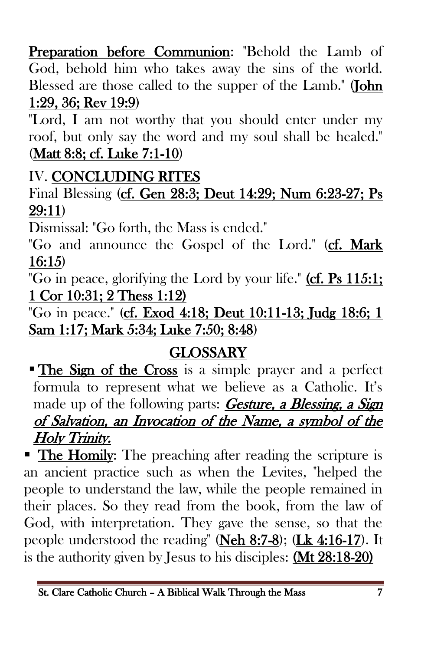Preparation before Communion: "Behold the Lamb of God, behold him who takes away the sins of the world. Blessed are those called to the supper of the Lamb." (John 1:29, 36; Rev 19:9)

"Lord, I am not worthy that you should enter under my roof, but only say the word and my soul shall be healed." (Matt 8:8; cf. Luke 7:1-10)

## IV. CONCLUDING RITES

Final Blessing (cf. Gen 28:3; Deut 14:29; Num 6:23-27; Ps 29:11)

Dismissal: "Go forth, the Mass is ended."

"Go and announce the Gospel of the Lord." (cf. Mark 16:15)

"Go in peace, glorifying the Lord by your life." (cf. Ps 115:1; 1 Cor 10:31; 2 Thess 1:12)

"Go in peace." (cf. Exod 4:18; Deut 10:11-13; Judg 18:6; 1 Sam 1:17; Mark 5:34; Luke 7:50; 8:48)

## **GLOSSARY**

**The Sign of the Cross** is a simple prayer and a perfect formula to represent what we believe as a Catholic. It's made up of the following parts: **Gesture, a Blessing, a Sign** of Salvation, an Invocation of the Name, a symbol of the Holy Trinity.

• The Homily: The preaching after reading the scripture is an ancient practice such as when the Levites, "helped the people to understand the law, while the people remained in their places. So they read from the book, from the law of God, with interpretation. They gave the sense, so that the people understood the reading" (Neh  $8:7-8$ ); (Lk  $4:16-17$ ). It is the authority given by Jesus to his disciples: (Mt 28:18-20)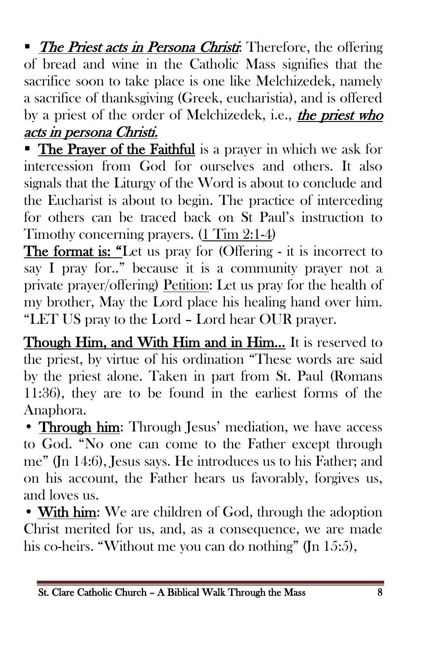• The Priest acts in Persona Christi: Therefore, the offering of bread and wine in the Catholic Mass signifies that the sacrifice soon to take place is one like Melchizedek, namely a sacrifice of thanksgiving (Greek, eucharistia), and is offered by a priest of the order of Melchizedek, i.e., the priest who acts in persona Christi.

**The Prayer of the Faithful** is a prayer in which we ask for intercession from God for ourselves and others. It also signals that the Liturgy of the Word is about to conclude and the Eucharist is about to begin. The practice of interceding for others can be traced back on St Paul's instruction to Timothy concerning prayers. (1 Tim 2:1-4)

The format is: "Let us pray for (Offering - it is incorrect to say I pray for.." because it is a community prayer not a private prayer/offering) Petition: Let us pray for the health of my brother, May the Lord place his healing hand over him. "LET US pray to the Lord – Lord hear OUR prayer.

Though Him, and With Him and in Him… It is reserved to the priest, by virtue of his ordination "These words are said by the priest alone. Taken in part from St. Paul (Romans 11:36), they are to be found in the earliest forms of the Anaphora.

• Through him: Through Jesus' mediation, we have access to God. "No one can come to the Father except through me" (Jn 14:6), Jesus says. He introduces us to his Father; and on his account, the Father hears us favorably, forgives us, and loves us.

• With him: We are children of God, through the adoption Christ merited for us, and, as a consequence, we are made his co-heirs. "Without me you can do nothing" (Jn 15:5),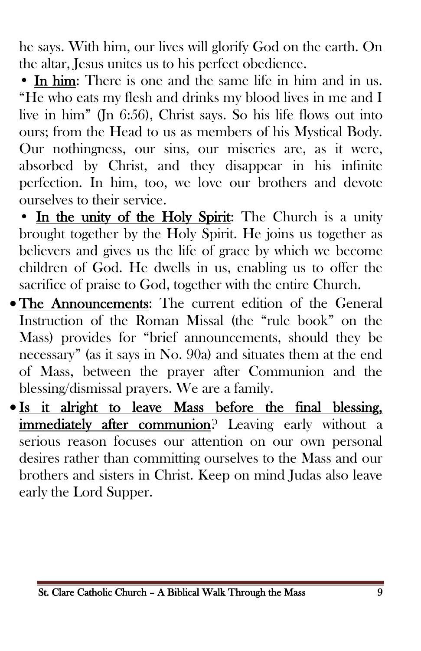he says. With him, our lives will glorify God on the earth. On the altar, Jesus unites us to his perfect obedience.

• In him: There is one and the same life in him and in us. "He who eats my flesh and drinks my blood lives in me and I live in him" (Jn 6:56), Christ says. So his life flows out into ours; from the Head to us as members of his Mystical Body. Our nothingness, our sins, our miseries are, as it were, absorbed by Christ, and they disappear in his infinite perfection. In him, too, we love our brothers and devote ourselves to their service.

• In the unity of the Holy Spirit: The Church is a unity brought together by the Holy Spirit. He joins us together as believers and gives us the life of grace by which we become children of God. He dwells in us, enabling us to offer the sacrifice of praise to God, together with the entire Church.

- The Announcements: The current edition of the General Instruction of the Roman Missal (the "rule book" on the Mass) provides for "brief announcements, should they be necessary" (as it says in No. 90a) and situates them at the end of Mass, between the prayer after Communion and the blessing/dismissal prayers. We are a family.
- Is it alright to leave Mass before the final blessing, immediately after communion? Leaving early without a serious reason focuses our attention on our own personal desires rather than committing ourselves to the Mass and our brothers and sisters in Christ. Keep on mind Judas also leave early the Lord Supper.